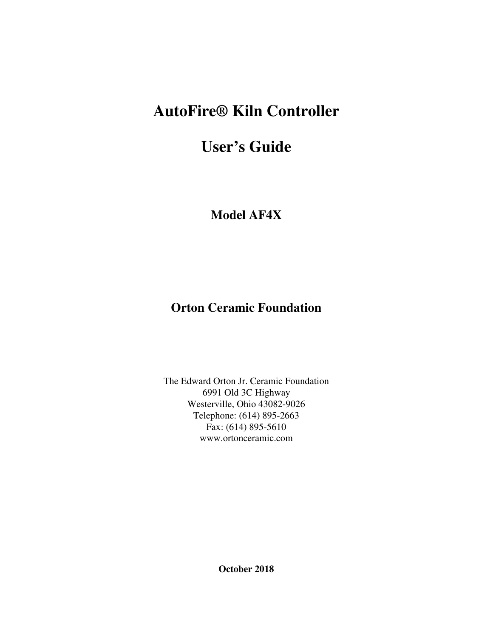# **AutoFire® Kiln Controller**

# **User's Guide**

**Model AF4X** 

# **Orton Ceramic Foundation**

The Edward Orton Jr. Ceramic Foundation 6991 Old 3C Highway Westerville, Ohio 43082-9026 Telephone: (614) 895-2663 Fax: (614) 895-5610 www.ortonceramic.com

**October 2018**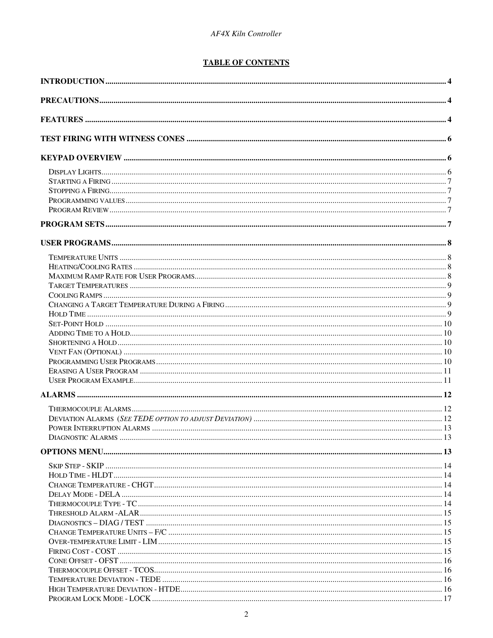### **TABLE OF CONTENTS**

| DIAGNOSTIC AI ARMS |  |
|--------------------|--|
|                    |  |
|                    |  |
|                    |  |
|                    |  |
|                    |  |
|                    |  |
|                    |  |
|                    |  |
|                    |  |
|                    |  |
|                    |  |
|                    |  |
|                    |  |
|                    |  |
|                    |  |
|                    |  |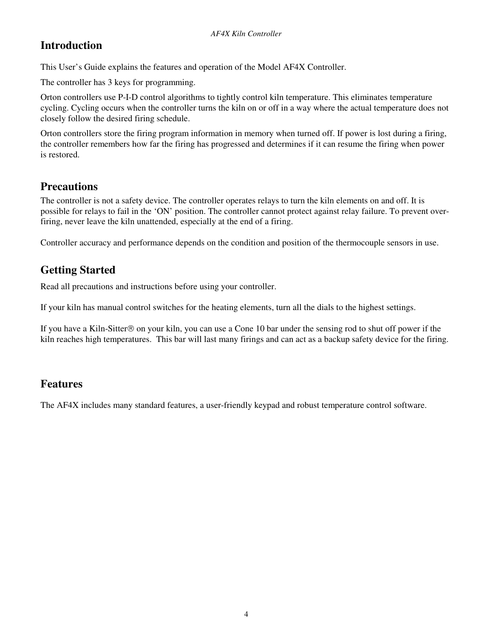# **Introduction**

This User's Guide explains the features and operation of the Model AF4X Controller.

The controller has 3 keys for programming.

Orton controllers use P-I-D control algorithms to tightly control kiln temperature. This eliminates temperature cycling. Cycling occurs when the controller turns the kiln on or off in a way where the actual temperature does not closely follow the desired firing schedule.

Orton controllers store the firing program information in memory when turned off. If power is lost during a firing, the controller remembers how far the firing has progressed and determines if it can resume the firing when power is restored.

# **Precautions**

The controller is not a safety device. The controller operates relays to turn the kiln elements on and off. It is possible for relays to fail in the 'ON' position. The controller cannot protect against relay failure. To prevent overfiring, never leave the kiln unattended, especially at the end of a firing.

Controller accuracy and performance depends on the condition and position of the thermocouple sensors in use.

# **Getting Started**

Read all precautions and instructions before using your controller.

If your kiln has manual control switches for the heating elements, turn all the dials to the highest settings.

If you have a Kiln-Sitter  $\odot$  on your kiln, you can use a Cone 10 bar under the sensing rod to shut off power if the kiln reaches high temperatures. This bar will last many firings and can act as a backup safety device for the firing.

## **Features**

The AF4X includes many standard features, a user-friendly keypad and robust temperature control software.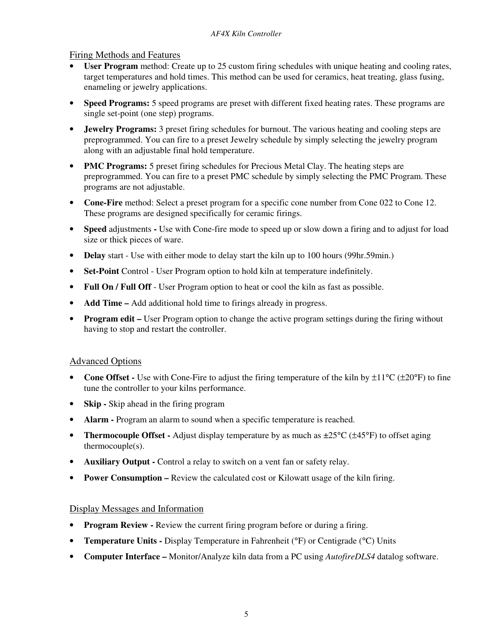### Firing Methods and Features

- User Program method: Create up to 25 custom firing schedules with unique heating and cooling rates, target temperatures and hold times. This method can be used for ceramics, heat treating, glass fusing, enameling or jewelry applications.
- **Speed Programs:** 5 speed programs are preset with different fixed heating rates. These programs are single set-point (one step) programs.
- **Jewelry Programs:** 3 preset firing schedules for burnout. The various heating and cooling steps are preprogrammed. You can fire to a preset Jewelry schedule by simply selecting the jewelry program along with an adjustable final hold temperature.
- **PMC Programs:** 5 preset firing schedules for Precious Metal Clay. The heating steps are preprogrammed. You can fire to a preset PMC schedule by simply selecting the PMC Program. These programs are not adjustable.
- **Cone-Fire** method: Select a preset program for a specific cone number from Cone 022 to Cone 12. These programs are designed specifically for ceramic firings.
- **Speed** adjustments Use with Cone-fire mode to speed up or slow down a firing and to adjust for load size or thick pieces of ware.
- **Delay** start Use with either mode to delay start the kiln up to 100 hours (99hr.59min.)
- **Set-Point** Control User Program option to hold kiln at temperature indefinitely.
- **Full On / Full Off** User Program option to heat or cool the kiln as fast as possible.
- **Add Time –** Add additional hold time to firings already in progress.
- **Program edit** User Program option to change the active program settings during the firing without having to stop and restart the controller.

#### Advanced Options

- **Cone Offset** Use with Cone-Fire to adjust the firing temperature of the kiln by  $\pm 11^{\circ}$ C ( $\pm 20^{\circ}$ F) to fine tune the controller to your kilns performance.
- **Skip** Skip ahead in the firing program
- **Alarm** Program an alarm to sound when a specific temperature is reached.
- **Thermocouple Offset -** Adjust display temperature by as much as  $\pm 25^{\circ}C$  ( $\pm 45^{\circ}F$ ) to offset aging thermocouple(s).
- **Auxiliary Output** Control a relay to switch on a vent fan or safety relay.
- **Power Consumption –** Review the calculated cost or Kilowatt usage of the kiln firing.

#### Display Messages and Information

- **Program Review -** Review the current firing program before or during a firing.
- **Temperature Units -** Display Temperature in Fahrenheit (°F) or Centigrade (°C) Units
- **Computer Interface** Monitor/Analyze kiln data from a PC using *AutofireDLS4* datalog software.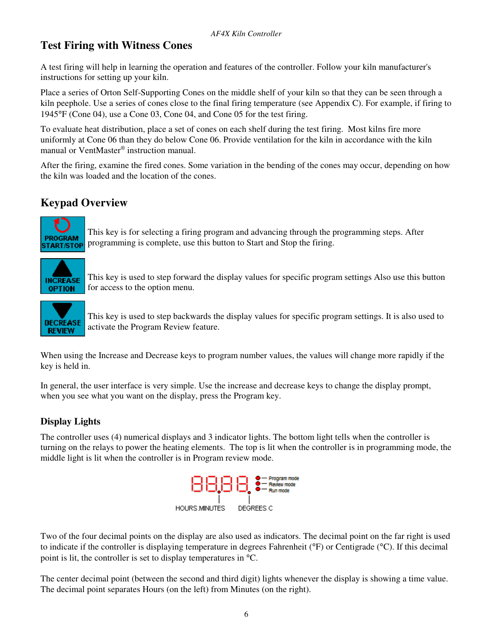# **Test Firing with Witness Cones**

A test firing will help in learning the operation and features of the controller. Follow your kiln manufacturer's instructions for setting up your kiln.

Place a series of Orton Self-Supporting Cones on the middle shelf of your kiln so that they can be seen through a kiln peephole. Use a series of cones close to the final firing temperature (see Appendix C). For example, if firing to 1945°F (Cone 04), use a Cone 03, Cone 04, and Cone 05 for the test firing.

To evaluate heat distribution, place a set of cones on each shelf during the test firing. Most kilns fire more uniformly at Cone 06 than they do below Cone 06. Provide ventilation for the kiln in accordance with the kiln manual or VentMaster® instruction manual.

After the firing, examine the fired cones. Some variation in the bending of the cones may occur, depending on how the kiln was loaded and the location of the cones.

# **Keypad Overview**



This key is for selecting a firing program and advancing through the programming steps. After programming is complete, use this button to Start and Stop the firing.



This key is used to step forward the display values for specific program settings Also use this button for access to the option menu.



This key is used to step backwards the display values for specific program settings. It is also used to activate the Program Review feature.

When using the Increase and Decrease keys to program number values, the values will change more rapidly if the key is held in.

In general, the user interface is very simple. Use the increase and decrease keys to change the display prompt, when you see what you want on the display, press the Program key.

### **Display Lights**

The controller uses (4) numerical displays and 3 indicator lights. The bottom light tells when the controller is turning on the relays to power the heating elements. The top is lit when the controller is in programming mode, the middle light is lit when the controller is in Program review mode.



Two of the four decimal points on the display are also used as indicators. The decimal point on the far right is used to indicate if the controller is displaying temperature in degrees Fahrenheit (°F) or Centigrade (°C). If this decimal point is lit, the controller is set to display temperatures in °C.

The center decimal point (between the second and third digit) lights whenever the display is showing a time value. The decimal point separates Hours (on the left) from Minutes (on the right).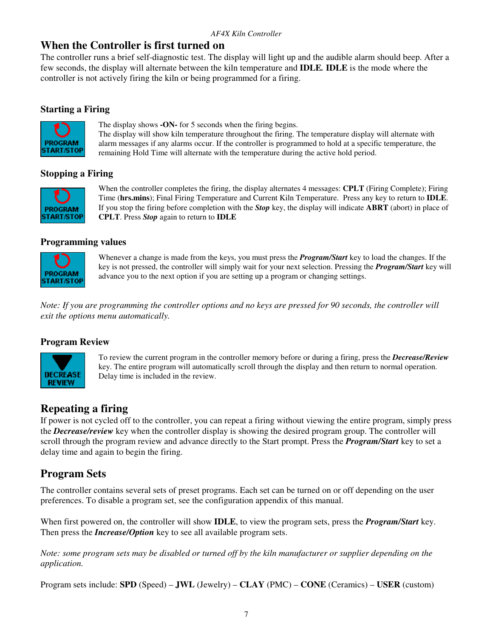# **When the Controller is first turned on**

The controller runs a brief self-diagnostic test. The display will light up and the audible alarm should beep. After a few seconds, the display will alternate between the kiln temperature and **IDLE***.* **IDLE** is the mode where the controller is not actively firing the kiln or being programmed for a firing.

### **Starting a Firing**



The display shows **-ON-** for 5 seconds when the firing begins.

The display will show kiln temperature throughout the firing. The temperature display will alternate with alarm messages if any alarms occur. If the controller is programmed to hold at a specific temperature, the remaining Hold Time will alternate with the temperature during the active hold period.

### **Stopping a Firing**



When the controller completes the firing, the display alternates 4 messages: **CPLT** (Firing Complete); Firing Time (**hrs.mins**); Final Firing Temperature and Current Kiln Temperature. Press any key to return to **IDLE**. If you stop the firing before completion with the *Stop* key, the display will indicate **ABRT** (abort) in place of **CPLT**. Press *Stop* again to return to **IDLE**

#### **Programming values**



Whenever a change is made from the keys, you must press the *Program/Start* key to load the changes. If the key is not pressed, the controller will simply wait for your next selection. Pressing the *Program/Start* key will advance you to the next option if you are setting up a program or changing settings.

*Note: If you are programming the controller options and no keys are pressed for 90 seconds, the controller will exit the options menu automatically.* 

#### **Program Review**



To review the current program in the controller memory before or during a firing, press the *Decrease/Review* key. The entire program will automatically scroll through the display and then return to normal operation. Delay time is included in the review.

# **Repeating a firing**

If power is not cycled off to the controller, you can repeat a firing without viewing the entire program, simply press the *Decrease/review* key when the controller display is showing the desired program group. The controller will scroll through the program review and advance directly to the Start prompt. Press the *Program/Start* key to set a delay time and again to begin the firing.

# **Program Sets**

The controller contains several sets of preset programs. Each set can be turned on or off depending on the user preferences. To disable a program set, see the configuration appendix of this manual.

When first powered on, the controller will show **IDLE**, to view the program sets, press the *Program/Start* key. Then press the *Increase/Option* key to see all available program sets.

*Note: some program sets may be disabled or turned off by the kiln manufacturer or supplier depending on the application.* 

Program sets include: **SPD** (Speed) – **JWL** (Jewelry) – **CLAY** (PMC) – **CONE** (Ceramics) – **USER** (custom)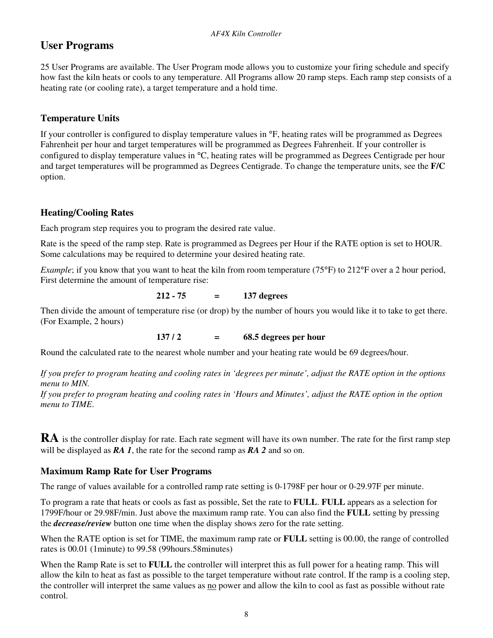# **User Programs**

25 User Programs are available. The User Program mode allows you to customize your firing schedule and specify how fast the kiln heats or cools to any temperature. All Programs allow 20 ramp steps. Each ramp step consists of a heating rate (or cooling rate), a target temperature and a hold time.

### **Temperature Units**

If your controller is configured to display temperature values in °F, heating rates will be programmed as Degrees Fahrenheit per hour and target temperatures will be programmed as Degrees Fahrenheit. If your controller is configured to display temperature values in °C, heating rates will be programmed as Degrees Centigrade per hour and target temperatures will be programmed as Degrees Centigrade. To change the temperature units, see the **F/C** option.

### **Heating/Cooling Rates**

Each program step requires you to program the desired rate value.

Rate is the speed of the ramp step. Rate is programmed as Degrees per Hour if the RATE option is set to HOUR. Some calculations may be required to determine your desired heating rate.

*Example*; if you know that you want to heat the kiln from room temperature (75°F) to 212°F over a 2 hour period, First determine the amount of temperature rise:

#### **212 - 75 = 137 degrees**

Then divide the amount of temperature rise (or drop) by the number of hours you would like it to take to get there. (For Example, 2 hours)

**137** / **2 = 68.5 degrees per hour** 

Round the calculated rate to the nearest whole number and your heating rate would be 69 degrees/hour.

*If you prefer to program heating and cooling rates in 'degrees per minute', adjust the RATE option in the options menu to MIN.* 

*If you prefer to program heating and cooling rates in 'Hours and Minutes', adjust the RATE option in the option menu to TIME*.

**RA** is the controller display for rate. Each rate segment will have its own number. The rate for the first ramp step will be displayed as *RA 1*, the rate for the second ramp as *RA 2* and so on.

### **Maximum Ramp Rate for User Programs**

The range of values available for a controlled ramp rate setting is 0-1798F per hour or 0-29.97F per minute.

To program a rate that heats or cools as fast as possible, Set the rate to **FULL**. **FULL** appears as a selection for 1799F/hour or 29.98F/min. Just above the maximum ramp rate. You can also find the **FULL** setting by pressing the *decrease/review* button one time when the display shows zero for the rate setting.

When the RATE option is set for TIME, the maximum ramp rate or **FULL** setting is 00.00, the range of controlled rates is 00.01 (1minute) to 99.58 (99hours.58minutes)

When the Ramp Rate is set to **FULL** the controller will interpret this as full power for a heating ramp. This will allow the kiln to heat as fast as possible to the target temperature without rate control. If the ramp is a cooling step, the controller will interpret the same values as no power and allow the kiln to cool as fast as possible without rate control.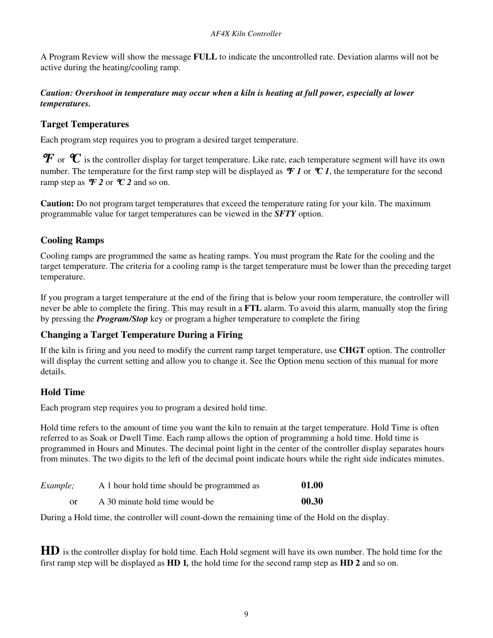A Program Review will show the message **FULL** to indicate the uncontrolled rate. Deviation alarms will not be active during the heating/cooling ramp.

#### *Caution: Overshoot in temperature may occur when a kiln is heating at full power, especially at lower temperatures.*

### **Target Temperatures**

Each program step requires you to program a desired target temperature.

 $\bm{F}$  or  $\bm{\mathcal{C}}$  is the controller display for target temperature. Like rate, each temperature segment will have its own number. The temperature for the first ramp step will be displayed as  $\mathcal{F}$  *I* or  $\mathcal{C}$  *I*, the temperature for the second ramp step as  $\mathcal{F}$  2 or  $\mathcal{C}$  2 and so on.

**Caution:** Do not program target temperatures that exceed the temperature rating for your kiln. The maximum programmable value for target temperatures can be viewed in the *SFTY* option.

### **Cooling Ramps**

Cooling ramps are programmed the same as heating ramps. You must program the Rate for the cooling and the target temperature. The criteria for a cooling ramp is the target temperature must be lower than the preceding target temperature.

If you program a target temperature at the end of the firing that is below your room temperature, the controller will never be able to complete the firing. This may result in a **FTL** alarm. To avoid this alarm, manually stop the firing by pressing the *Program/Stop* key or program a higher temperature to complete the firing

### **Changing a Target Temperature During a Firing**

If the kiln is firing and you need to modify the current ramp target temperature, use **CHGT** option. The controller will display the current setting and allow you to change it. See the Option menu section of this manual for more details.

### **Hold Time**

Each program step requires you to program a desired hold time.

Hold time refers to the amount of time you want the kiln to remain at the target temperature. Hold Time is often referred to as Soak or Dwell Time. Each ramp allows the option of programming a hold time. Hold time is programmed in Hours and Minutes. The decimal point light in the center of the controller display separates hours from minutes. The two digits to the left of the decimal point indicate hours while the right side indicates minutes.

| <i>Example</i> ; | A 1 hour hold time should be programmed as | 01.00 |
|------------------|--------------------------------------------|-------|
| or               | A 30 minute hold time would be             | 00.30 |

During a Hold time, the controller will count-down the remaining time of the Hold on the display.

**HD** is the controller display for hold time. Each Hold segment will have its own number. The hold time for the first ramp step will be displayed as **HD 1***,* the hold time for the second ramp step as **HD 2** and so on.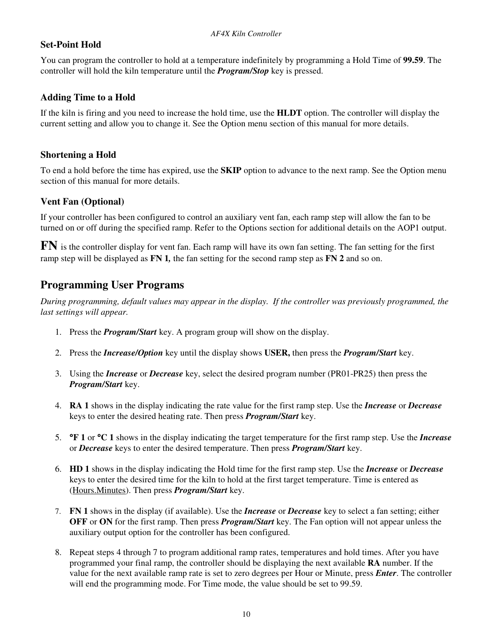### **Set-Point Hold**

You can program the controller to hold at a temperature indefinitely by programming a Hold Time of **99.59**. The controller will hold the kiln temperature until the *Program/Stop* key is pressed.

### **Adding Time to a Hold**

If the kiln is firing and you need to increase the hold time, use the **HLDT** option. The controller will display the current setting and allow you to change it. See the Option menu section of this manual for more details.

### **Shortening a Hold**

To end a hold before the time has expired, use the **SKIP** option to advance to the next ramp. See the Option menu section of this manual for more details.

### **Vent Fan (Optional)**

If your controller has been configured to control an auxiliary vent fan, each ramp step will allow the fan to be turned on or off during the specified ramp. Refer to the Options section for additional details on the AOP1 output.

**FN** is the controller display for vent fan. Each ramp will have its own fan setting. The fan setting for the first ramp step will be displayed as **FN 1***,* the fan setting for the second ramp step as **FN 2** and so on.

# **Programming User Programs**

*During programming, default values may appear in the display. If the controller was previously programmed, the last settings will appear.* 

- 1. Press the *Program/Start* key. A program group will show on the display.
- 2. Press the *Increase/Option* key until the display shows **USER,** then press the *Program/Start* key.
- 3. Using the *Increase* or *Decrease* key, select the desired program number (PR01-PR25) then press the *Program/Start* key.
- 4. **RA 1** shows in the display indicating the rate value for the first ramp step. Use the *Increase* or *Decrease* keys to enter the desired heating rate. Then press *Program/Start* key.
- 5. °**F 1** or °**C 1** shows in the display indicating the target temperature for the first ramp step. Use the *Increase* or *Decrease* keys to enter the desired temperature. Then press *Program/Start* key.
- 6. **HD 1** shows in the display indicating the Hold time for the first ramp step. Use the *Increase* or *Decrease* keys to enter the desired time for the kiln to hold at the first target temperature. Time is entered as (Hours.Minutes). Then press *Program/Start* key.
- 7. **FN 1** shows in the display (if available). Use the *Increase* or *Decrease* key to select a fan setting; either **OFF** or **ON** for the first ramp. Then press *Program/Start* key. The Fan option will not appear unless the auxiliary output option for the controller has been configured.
- 8. Repeat steps 4 through 7 to program additional ramp rates, temperatures and hold times. After you have programmed your final ramp, the controller should be displaying the next available **RA** number. If the value for the next available ramp rate is set to zero degrees per Hour or Minute, press *Enter*. The controller will end the programming mode. For Time mode, the value should be set to 99.59.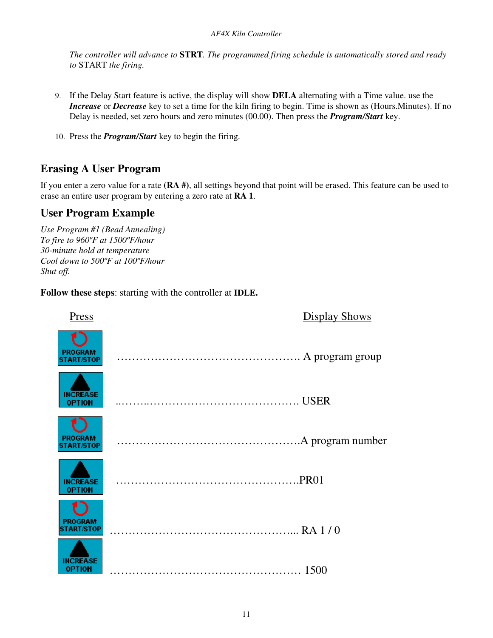*The controller will advance to* **STRT***. The programmed firing schedule is automatically stored and ready to* START *the firing.* 

- 9. If the Delay Start feature is active, the display will show **DELA** alternating with a Time value. use the *Increase* or *Decrease* key to set a time for the kiln firing to begin. Time is shown as (Hours.Minutes). If no Delay is needed, set zero hours and zero minutes (00.00). Then press the *Program/Start* key.
- 10. Press the *Program/Start* key to begin the firing.

# **Erasing A User Program**

If you enter a zero value for a rate **(RA #)**, all settings beyond that point will be erased. This feature can be used to erase an entire user program by entering a zero rate at **RA 1**.

### **User Program Example**

*Use Program #1 (Bead Annealing) To fire to 960ºF at 1500ºF/hour 30-minute hold at temperature Cool down to 500ºF at 100ºF/hour Shut off.* 

**Follow these steps**: starting with the controller at **IDLE.** 

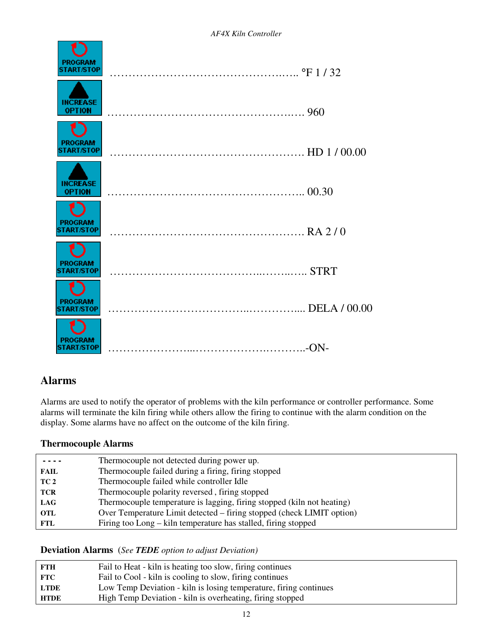

# **Alarms**

Alarms are used to notify the operator of problems with the kiln performance or controller performance. Some alarms will terminate the kiln firing while others allow the firing to continue with the alarm condition on the display. Some alarms have no affect on the outcome of the kiln firing.

### **Thermocouple Alarms**

|             | Thermocouple not detected during power up.                             |
|-------------|------------------------------------------------------------------------|
| <b>FAIL</b> | Thermocouple failed during a firing, firing stopped                    |
| TC 2        | Thermocouple failed while controller Idle                              |
| <b>TCR</b>  | Thermocouple polarity reversed, firing stopped                         |
| <b>LAG</b>  | Thermocouple temperature is lagging, firing stopped (kiln not heating) |
| <b>OTL</b>  | Over Temperature Limit detected – firing stopped (check LIMIT option)  |
| <b>FTL</b>  | Firing too Long – kiln temperature has stalled, firing stopped         |
|             |                                                                        |

**Deviation Alarms** (*See TEDE option to adjust Deviation)* 

| FTH           | Fail to Heat - kiln is heating too slow, firing continues         |
|---------------|-------------------------------------------------------------------|
| $_{\rm{FTC}}$ | Fail to Cool - kiln is cooling to slow, firing continues          |
| <b>LTDE</b>   | Low Temp Deviation - kiln is losing temperature, firing continues |
| <b>HTDE</b>   | High Temp Deviation - kiln is overheating, firing stopped         |
|               |                                                                   |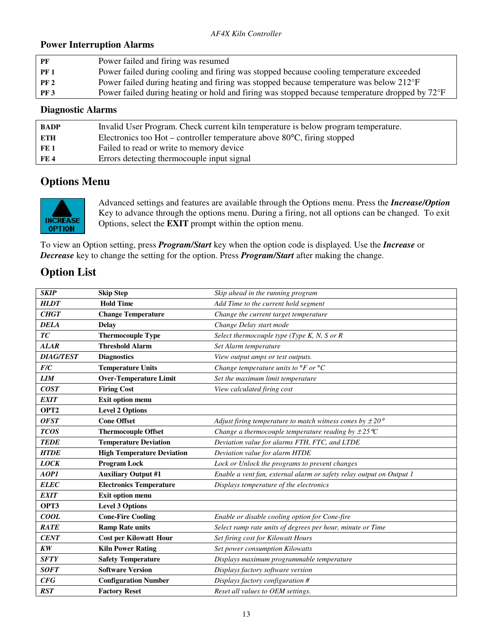### **Power Interruption Alarms**

| PF          | Power failed and firing was resumed                                                            |
|-------------|------------------------------------------------------------------------------------------------|
| PF 1        | Power failed during cooling and firing was stopped because cooling temperature exceeded        |
| <b>PF 2</b> | Power failed during heating and firing was stopped because temperature was below 212°F         |
| <b>PF 3</b> | Power failed during heating or hold and firing was stopped because temperature dropped by 72°F |
|             |                                                                                                |

### **Diagnostic Alarms**

| <b>BADP</b>     | Invalid User Program. Check current kiln temperature is below program temperature. |
|-----------------|------------------------------------------------------------------------------------|
| <b>ETH</b>      | Electronics too Hot – controller temperature above $80^{\circ}$ C, firing stopped  |
| FE <sub>1</sub> | Failed to read or write to memory device                                           |
| FE 4            | Errors detecting thermocouple input signal                                         |
|                 |                                                                                    |

# **Options Menu**



Advanced settings and features are available through the Options menu. Press the *Increase/Option* Key to advance through the options menu. During a firing, not all options can be changed. To exit Options, select the **EXIT** prompt within the option menu.

To view an Option setting, press *Program/Start* key when the option code is displayed. Use the *Increase* or *Decrease* key to change the setting for the option. Press *Program/Start* after making the change.

# **Option List**

| <b>SKIP</b>      | <b>Skip Step</b>                  | Skip ahead in the running program                                    |
|------------------|-----------------------------------|----------------------------------------------------------------------|
| <b>HLDT</b>      | <b>Hold Time</b>                  | Add Time to the current hold segment                                 |
| <b>CHGT</b>      | <b>Change Temperature</b>         | Change the current target temperature                                |
| <b>DELA</b>      | <b>Delay</b>                      | Change Delay start mode                                              |
| TC               | <b>Thermocouple Type</b>          | Select thermocouple type (Type K, N, S or R                          |
| <b>ALAR</b>      | <b>Threshold Alarm</b>            | Set Alarm temperature                                                |
| <b>DIAG/TEST</b> | <b>Diagnostics</b>                | View output amps or test outputs.                                    |
| F/C              | <b>Temperature Units</b>          | Change temperature units to $\mathrm{P}F$ or $\mathrm{P}C$           |
| <b>LIM</b>       | <b>Over-Temperature Limit</b>     | Set the maximum limit temperature                                    |
| <b>COST</b>      | <b>Firing Cost</b>                | View calculated firing cost                                          |
| <b>EXIT</b>      | Exit option menu                  |                                                                      |
| OPT <sub>2</sub> | <b>Level 2 Options</b>            |                                                                      |
| <b>OFST</b>      | <b>Cone Offset</b>                | Adjust firing temperature to match witness cones by $\pm 20^{\circ}$ |
| <b>TCOS</b>      | <b>Thermocouple Offset</b>        | Change a thermocouple temperature reading by $\pm 25^{\circ}C$       |
| <b>TEDE</b>      | <b>Temperature Deviation</b>      | Deviation value for alarms FTH, FTC, and LTDE                        |
| <b>HTDE</b>      | <b>High Temperature Deviation</b> | Deviation value for alarm HTDE                                       |
| <b>LOCK</b>      | <b>Program Lock</b>               | Lock or Unlock the programs to prevent changes                       |
| AOP1             | <b>Auxiliary Output #1</b>        | Enable a vent fan, external alarm or safety relay output on Output 1 |
| <b>ELEC</b>      | <b>Electronics Temperature</b>    | Displays temperature of the electronics                              |
| <b>EXIT</b>      | Exit option menu                  |                                                                      |
| OPT3             | <b>Level 3 Options</b>            |                                                                      |
| <b>COOL</b>      | <b>Cone-Fire Cooling</b>          | Enable or disable cooling option for Cone-fire                       |
| <b>RATE</b>      | <b>Ramp Rate units</b>            | Select ramp rate units of degrees per hour, minute or Time           |
| <b>CENT</b>      | <b>Cost per Kilowatt Hour</b>     | Set firing cost for Kilowatt Hours                                   |
| <b>KW</b>        | <b>Kiln Power Rating</b>          | Set power consumption Kilowatts                                      |
| <b>SFTY</b>      | <b>Safety Temperature</b>         | Displays maximum programmable temperature                            |
| <b>SOFT</b>      | <b>Software Version</b>           | Displays factory software version                                    |
| <b>CFG</b>       | <b>Configuration Number</b>       | Displays factory configuration #                                     |
| <b>RST</b>       | <b>Factory Reset</b>              | Reset all values to OEM settings.                                    |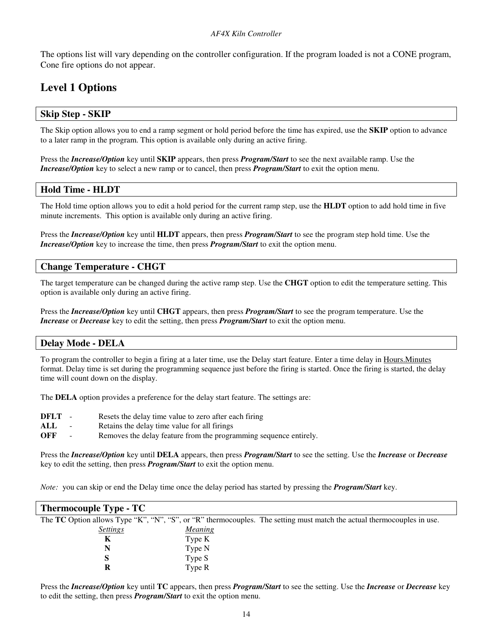The options list will vary depending on the controller configuration. If the program loaded is not a CONE program, Cone fire options do not appear.

# **Level 1 Options**

### **Skip Step - SKIP**

The Skip option allows you to end a ramp segment or hold period before the time has expired, use the **SKIP** option to advance to a later ramp in the program. This option is available only during an active firing.

Press the *Increase/Option* key until **SKIP** appears, then press *Program/Start* to see the next available ramp. Use the *Increase/Option* key to select a new ramp or to cancel, then press *Program/Start* to exit the option menu.

#### **Hold Time - HLDT**

The Hold time option allows you to edit a hold period for the current ramp step, use the **HLDT** option to add hold time in five minute increments. This option is available only during an active firing.

Press the *Increase/Option* key until **HLDT** appears, then press *Program/Start* to see the program step hold time. Use the *Increase/Option* key to increase the time, then press *Program/Start* to exit the option menu.

#### **Change Temperature - CHGT**

The target temperature can be changed during the active ramp step. Use the **CHGT** option to edit the temperature setting. This option is available only during an active firing.

Press the *Increase/Option* key until **CHGT** appears, then press *Program/Start* to see the program temperature. Use the *Increase* or *Decrease* key to edit the setting, then press *Program/Start* to exit the option menu.

#### **Delay Mode - DELA**

To program the controller to begin a firing at a later time, use the Delay start feature. Enter a time delay in Hours. Minutes format. Delay time is set during the programming sequence just before the firing is started. Once the firing is started, the delay time will count down on the display.

The **DELA** option provides a preference for the delay start feature. The settings are:

- **DFLT** Resets the delay time value to zero after each firing
- ALL Retains the delay time value for all firings
- **OFF** Removes the delay feature from the programming sequence entirely.

Press the *Increase/Option* key until **DELA** appears, then press *Program/Start* to see the setting. Use the *Increase* or *Decrease* key to edit the setting, then press *Program/Start* to exit the option menu.

*Note:* you can skip or end the Delay time once the delay period has started by pressing the *Program/Start* key.

| <b>Thermocouple Type - TC</b> |                |                                                                                                                        |
|-------------------------------|----------------|------------------------------------------------------------------------------------------------------------------------|
|                               |                | The TC Option allows Type "K", "N", "S", or "R" thermocouples. The setting must match the actual thermocouples in use. |
| <b>Settings</b>               | <u>Meaning</u> |                                                                                                                        |
| K                             | Type K         |                                                                                                                        |
| N                             | Type N         |                                                                                                                        |
| S                             | Type S         |                                                                                                                        |
|                               | Type R         |                                                                                                                        |

Press the *Increase/Option* key until **TC** appears, then press *Program/Start* to see the setting. Use the *Increase* or *Decrease* key to edit the setting, then press *Program/Start* to exit the option menu.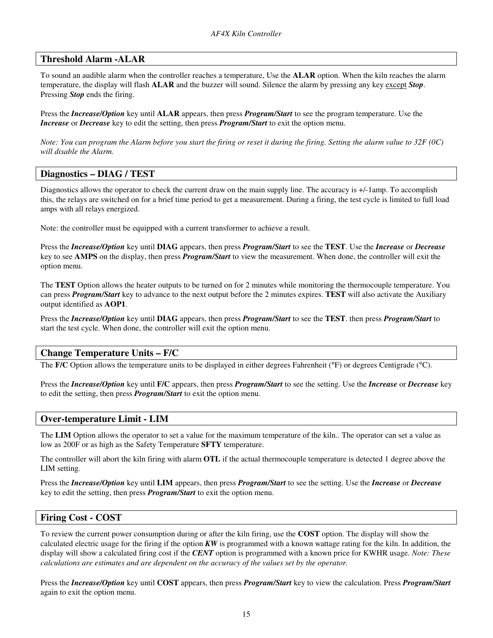#### **Threshold Alarm -ALAR**

To sound an audible alarm when the controller reaches a temperature, Use the **ALAR** option. When the kiln reaches the alarm temperature, the display will flash **ALAR** and the buzzer will sound. Silence the alarm by pressing any key except *Stop*. Pressing *Stop* ends the firing.

Press the *Increase/Option* key until **ALAR** appears, then press *Program/Start* to see the program temperature. Use the *Increase* or *Decrease* key to edit the setting, then press *Program/Start* to exit the option menu.

*Note: You can program the Alarm before you start the firing or reset it during the firing. Setting the alarm value to 32F (0C) will disable the Alarm.* 

#### **Diagnostics – DIAG / TEST**

Diagnostics allows the operator to check the current draw on the main supply line. The accuracy is +/-1amp. To accomplish this, the relays are switched on for a brief time period to get a measurement. During a firing, the test cycle is limited to full load amps with all relays energized.

Note: the controller must be equipped with a current transformer to achieve a result.

Press the *Increase/Option* key until **DIAG** appears, then press *Program/Start* to see the **TEST**. Use the *Increase* or *Decrease* key to see **AMPS** on the display, then press *Program/Start* to view the measurement. When done, the controller will exit the option menu.

The **TEST** Option allows the heater outputs to be turned on for 2 minutes while monitoring the thermocouple temperature. You can press *Program/Start* key to advance to the next output before the 2 minutes expires. **TEST** will also activate the Auxiliary output identified as **AOP1**.

Press the *Increase/Option* key until **DIAG** appears, then press *Program/Start* to see the **TEST**. then press *Program/Start* to start the test cycle. When done, the controller will exit the option menu.

#### **Change Temperature Units – F/C**

The **F/C** Option allows the temperature units to be displayed in either degrees Fahrenheit (°F) or degrees Centigrade (°C).

Press the *Increase/Option* key until **F/C** appears, then press *Program/Start* to see the setting. Use the *Increase* or *Decrease* key to edit the setting, then press *Program/Start* to exit the option menu.

#### **Over-temperature Limit - LIM**

The **LIM** Option allows the operator to set a value for the maximum temperature of the kiln.. The operator can set a value as low as 200F or as high as the Safety Temperature **SFTY** temperature.

The controller will abort the kiln firing with alarm **OTL** if the actual thermocouple temperature is detected 1 degree above the LIM setting.

Press the *Increase/Option* key until **LIM** appears, then press *Program/Start* to see the setting. Use the *Increase* or *Decrease* key to edit the setting, then press *Program/Start* to exit the option menu.

#### **Firing Cost - COST**

To review the current power consumption during or after the kiln firing, use the **COST** option. The display will show the calculated electric usage for the firing if the option *KW* is programmed with a known wattage rating for the kiln. In addition, the display will show a calculated firing cost if the *CENT* option is programmed with a known price for KWHR usage. *Note: These calculations are estimates and are dependent on the accuracy of the values set by the operator.* 

Press the *Increase/Option* key until **COST** appears, then press *Program/Start* key to view the calculation. Press *Program/Start* again to exit the option menu.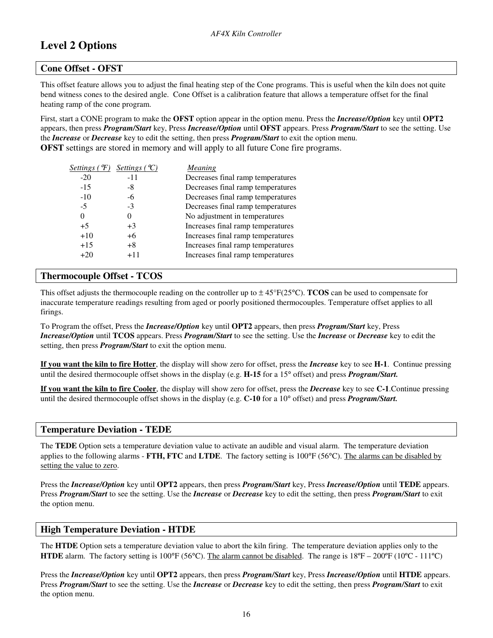# **Level 2 Options**

#### **Cone Offset - OFST**

This offset feature allows you to adjust the final heating step of the Cone programs. This is useful when the kiln does not quite bend witness cones to the desired angle. Cone Offset is a calibration feature that allows a temperature offset for the final heating ramp of the cone program.

First, start a CONE program to make the **OFST** option appear in the option menu. Press the *Increase/Option* key until **OPT2** appears, then press *Program/Start* key, Press *Increase/Option* until **OFST** appears. Press *Program/Start* to see the setting. Use the *Increase* or *Decrease* key to edit the setting, then press *Program/Start* to exit the option menu. **OFST** settings are stored in memory and will apply to all future Cone fire programs.

| $-20$<br>$-11$                                      |  |
|-----------------------------------------------------|--|
| Decreases final ramp temperatures                   |  |
| $-15$<br>Decreases final ramp temperatures<br>-8    |  |
| Decreases final ramp temperatures<br>$-10$<br>-6    |  |
| $-5$<br>Decreases final ramp temperatures<br>$-3$   |  |
| No adjustment in temperatures<br>0<br>0             |  |
| Increases final ramp temperatures<br>$+5$<br>$+3$   |  |
| $+10$<br>Increases final ramp temperatures<br>$+6$  |  |
| $+15$<br>Increases final ramp temperatures<br>$+8$  |  |
| Increases final ramp temperatures<br>$+20$<br>$+11$ |  |

#### **Thermocouple Offset - TCOS**

This offset adjusts the thermocouple reading on the controller up to  $\pm 45^{\circ}F(25^{\circ}C)$ . **TCOS** can be used to compensate for inaccurate temperature readings resulting from aged or poorly positioned thermocouples. Temperature offset applies to all firings.

To Program the offset, Press the *Increase/Option* key until **OPT2** appears, then press *Program/Start* key, Press *Increase/Option* until **TCOS** appears. Press *Program/Start* to see the setting. Use the *Increase* or *Decrease* key to edit the setting, then press *Program/Start* to exit the option menu.

**If you want the kiln to fire Hotter**, the display will show zero for offset, press the *Increase* key to see **H-1**. Continue pressing until the desired thermocouple offset shows in the display (e.g. **H-15** for a 15° offset) and press *Program/Start.*

**If you want the kiln to fire Cooler**, the display will show zero for offset, press the *Decrease* key to see **C-1**.Continue pressing until the desired thermocouple offset shows in the display (e.g. **C-10** for a 10° offset) and press *Program/Start.* 

#### **Temperature Deviation - TEDE**

The **TEDE** Option sets a temperature deviation value to activate an audible and visual alarm. The temperature deviation applies to the following alarms - **FTH, FTC** and **LTDE**. The factory setting is 100°F (56°C). The alarms can be disabled by setting the value to zero.

Press the *Increase/Option* key until **OPT2** appears, then press *Program/Start* key, Press *Increase/Option* until **TEDE** appears. Press *Program/Start* to see the setting. Use the *Increase* or *Decrease* key to edit the setting, then press *Program/Start* to exit the option menu.

#### **High Temperature Deviation - HTDE**

The **HTDE** Option sets a temperature deviation value to abort the kiln firing. The temperature deviation applies only to the **HTDE** alarm. The factory setting is  $100^{\circ}F (56^{\circ}C)$ . The alarm cannot be disabled. The range is  $18^{\circ}F - 200^{\circ}F (10^{\circ}C - 111^{\circ}C)$ 

Press the *Increase/Option* key until **OPT2** appears, then press *Program/Start* key, Press *Increase/Option* until **HTDE** appears. Press *Program/Start* to see the setting. Use the *Increase* or *Decrease* key to edit the setting, then press *Program/Start* to exit the option menu.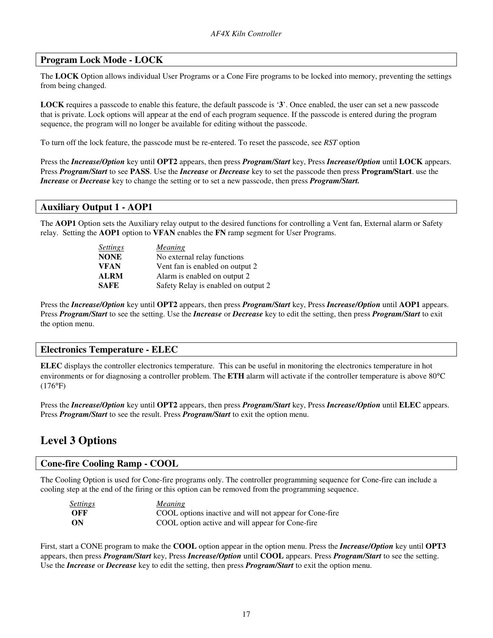#### **Program Lock Mode - LOCK**

The **LOCK** Option allows individual User Programs or a Cone Fire programs to be locked into memory, preventing the settings from being changed.

**LOCK** requires a passcode to enable this feature, the default passcode is '**3**'. Once enabled, the user can set a new passcode that is private. Lock options will appear at the end of each program sequence. If the passcode is entered during the program sequence, the program will no longer be available for editing without the passcode.

To turn off the lock feature, the passcode must be re-entered. To reset the passcode, see *RST* option

Press the *Increase/Option* key until **OPT2** appears, then press *Program/Start* key, Press *Increase/Option* until **LOCK** appears. Press *Program/Start* to see **PASS**. Use the *Increase* or *Decrease* key to set the passcode then press **Program/Start**. use the *Increase* or *Decrease* key to change the setting or to set a new passcode, then press *Program/Start.* 

#### **Auxiliary Output 1 - AOP1**

The **AOP1** Option sets the Auxiliary relay output to the desired functions for controlling a Vent fan, External alarm or Safety relay. Setting the **AOP1** option to **VFAN** enables the **FN** ramp segment for User Programs.

| <b>Settings</b> | <b>Meaning</b>                      |
|-----------------|-------------------------------------|
| <b>NONE</b>     | No external relay functions         |
| <b>VFAN</b>     | Vent fan is enabled on output 2     |
| <b>ALRM</b>     | Alarm is enabled on output 2        |
| <b>SAFE</b>     | Safety Relay is enabled on output 2 |

Press the *Increase/Option* key until **OPT2** appears, then press *Program/Start* key, Press *Increase/Option* until **AOP1** appears. Press *Program/Start* to see the setting. Use the *Increase* or *Decrease* key to edit the setting, then press *Program/Start* to exit the option menu.

#### **Electronics Temperature - ELEC**

**ELEC** displays the controller electronics temperature. This can be useful in monitoring the electronics temperature in hot environments or for diagnosing a controller problem. The **ETH** alarm will activate if the controller temperature is above 80°C (176°F)

Press the *Increase/Option* key until **OPT2** appears, then press *Program/Start* key, Press *Increase/Option* until **ELEC** appears. Press *Program/Start* to see the result. Press *Program/Start* to exit the option menu.

### **Level 3 Options**

#### **Cone-fire Cooling Ramp - COOL**

The Cooling Option is used for Cone-fire programs only. The controller programming sequence for Cone-fire can include a cooling step at the end of the firing or this option can be removed from the programming sequence.

| <b>Settings</b> | <b>Meaning</b>                                          |
|-----------------|---------------------------------------------------------|
| OFF             | COOL options inactive and will not appear for Cone-fire |
| - ON            | COOL option active and will appear for Cone-fire        |

First, start a CONE program to make the **COOL** option appear in the option menu. Press the *Increase/Option* key until **OPT3** appears, then press *Program/Start* key, Press *Increase/Option* until **COOL** appears. Press *Program/Start* to see the setting. Use the *Increase* or *Decrease* key to edit the setting, then press *Program/Start* to exit the option menu.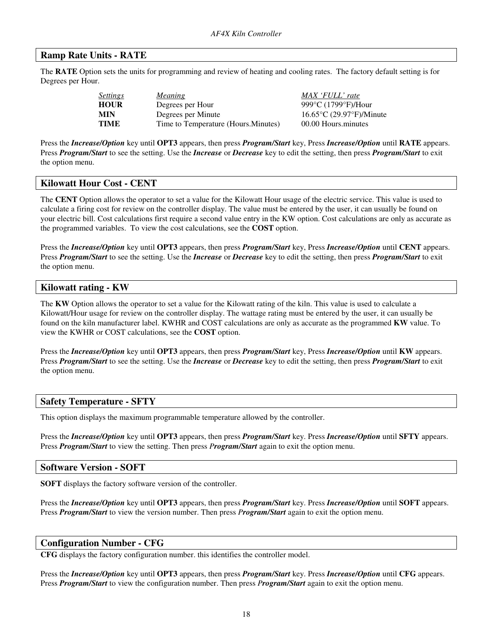#### **Ramp Rate Units - RATE**

The **RATE** Option sets the units for programming and review of heating and cooling rates. The factory default setting is for Degrees per Hour.

| Settings    | Meaning                              |
|-------------|--------------------------------------|
| <b>HOUR</b> | Degrees per Hour                     |
| <b>MIN</b>  | Degrees per Minute                   |
| TIME        | Time to Temperature (Hours. Minutes) |

*MAX 'FULL' rate* 999°C (1799°F)/Hour **MIN**Degrees per Minute16.65°C (29.97°F)/Minute 00.00 Hours.minutes

Press the *Increase/Option* key until **OPT3** appears, then press *Program/Start* key, Press *Increase/Option* until **RATE** appears. Press *Program/Start* to see the setting. Use the *Increase* or *Decrease* key to edit the setting, then press *Program/Start* to exit the option menu.

#### **Kilowatt Hour Cost - CENT**

The **CENT** Option allows the operator to set a value for the Kilowatt Hour usage of the electric service. This value is used to calculate a firing cost for review on the controller display. The value must be entered by the user, it can usually be found on your electric bill. Cost calculations first require a second value entry in the KW option. Cost calculations are only as accurate as the programmed variables. To view the cost calculations, see the **COST** option.

Press the *Increase/Option* key until **OPT3** appears, then press *Program/Start* key, Press *Increase/Option* until **CENT** appears. Press *Program/Start* to see the setting. Use the *Increase* or *Decrease* key to edit the setting, then press *Program/Start* to exit the option menu.

#### **Kilowatt rating - KW**

The **KW** Option allows the operator to set a value for the Kilowatt rating of the kiln. This value is used to calculate a Kilowatt/Hour usage for review on the controller display. The wattage rating must be entered by the user, it can usually be found on the kiln manufacturer label. KWHR and COST calculations are only as accurate as the programmed **KW** value. To view the KWHR or COST calculations, see the **COST** option.

Press the *Increase/Option* key until **OPT3** appears, then press *Program/Start* key, Press *Increase/Option* until **KW** appears. Press *Program/Start* to see the setting. Use the *Increase* or *Decrease* key to edit the setting, then press *Program/Start* to exit the option menu.

#### **Safety Temperature - SFTY**

This option displays the maximum programmable temperature allowed by the controller.

Press the *Increase/Option* key until **OPT3** appears, then press *Program/Start* key. Press *Increase/Option* until **SFTY** appears. Press *Program/Start* to view the setting. Then press *Program/Start* again to exit the option menu.

#### **Software Version - SOFT**

**SOFT** displays the factory software version of the controller.

Press the *Increase/Option* key until **OPT3** appears, then press *Program/Start* key. Press *Increase/Option* until **SOFT** appears. Press *Program/Start* to view the version number. Then press *Program/Start* again to exit the option menu.

#### **Configuration Number - CFG**

**CFG** displays the factory configuration number. this identifies the controller model.

Press the *Increase/Option* key until **OPT3** appears, then press *Program/Start* key. Press *Increase/Option* until **CFG** appears. Press *Program/Start* to view the configuration number. Then press *Program/Start* again to exit the option menu.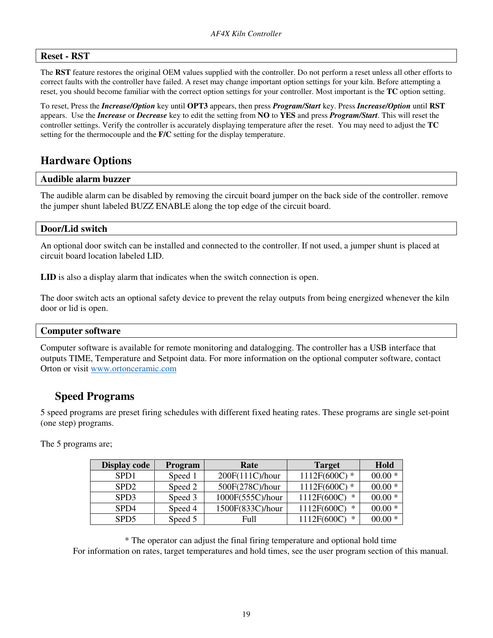#### **Reset - RST**

The **RST** feature restores the original OEM values supplied with the controller. Do not perform a reset unless all other efforts to correct faults with the controller have failed. A reset may change important option settings for your kiln. Before attempting a reset, you should become familiar with the correct option settings for your controller. Most important is the **TC** option setting.

To reset, Press the *Increase/Option* key until **OPT3** appears, then press *Program/Start* key. Press *Increase/Option* until **RST**  appears. Use the *Increase* or *Decrease* key to edit the setting from **NO** to **YES** and press *Program/Start*. This will reset the controller settings. Verify the controller is accurately displaying temperature after the reset. You may need to adjust the **TC** setting for the thermocouple and the **F/C** setting for the display temperature.

### **Hardware Options**

#### **Audible alarm buzzer**

The audible alarm can be disabled by removing the circuit board jumper on the back side of the controller. remove the jumper shunt labeled BUZZ ENABLE along the top edge of the circuit board.

#### **Door/Lid switch**

An optional door switch can be installed and connected to the controller. If not used, a jumper shunt is placed at circuit board location labeled LID.

**LID** is also a display alarm that indicates when the switch connection is open.

The door switch acts an optional safety device to prevent the relay outputs from being energized whenever the kiln door or lid is open.

#### **Computer software**

Computer software is available for remote monitoring and datalogging. The controller has a USB interface that outputs TIME, Temperature and Setpoint data. For more information on the optional computer software, contact Orton or visit www.ortonceramic.com

### **Speed Programs**

5 speed programs are preset firing schedules with different fixed heating rates. These programs are single set-point (one step) programs.

The 5 programs are;

| <b>Display code</b> | <b>Program</b> | Rate             | <b>Target</b>    | Hold     |
|---------------------|----------------|------------------|------------------|----------|
| SPD <sub>1</sub>    | Speed 1        | 200F(111C)/hour  | $1112F(600C)$ *  | $00.00*$ |
| SPD <sub>2</sub>    | Speed 2        | 500F(278C)/hour  | $1112F(600C)$ *  | $00.00*$ |
| SPD <sub>3</sub>    | Speed 3        | 1000F(555C)/hour | 1112F(600C)<br>∗ | $00.00*$ |
| SP <sub>D</sub> 4   | Speed 4        | 1500F(833C)/hour | 1112F(600C)<br>∗ | $00.00*$ |
| SPD <sub>5</sub>    | Speed 5        | Full             | 1112F(600C)<br>∗ | $00.00*$ |

\* The operator can adjust the final firing temperature and optional hold time For information on rates, target temperatures and hold times, see the user program section of this manual.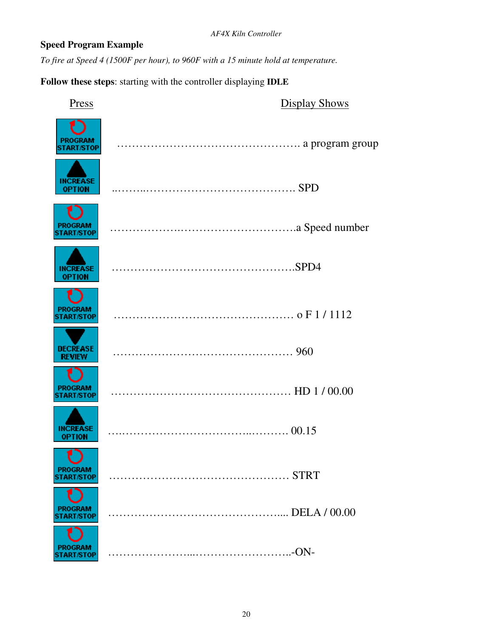### **Speed Program Example**

*To fire at Speed 4 (1500F per hour), to 960F with a 15 minute hold at temperature.* 

**Follow these steps**: starting with the controller displaying **IDLE**

| Press                               | <b>Display Shows</b> |
|-------------------------------------|----------------------|
| <b>PROGRAM</b><br><b>START/STOP</b> |                      |
| <b>INCREASE</b><br><b>OPTION</b>    |                      |
| <b>PROGRAM</b><br><b>START/STOP</b> |                      |
| <b>INCREASE</b><br>OPTION           |                      |
| <b>PROGRAM</b><br><b>TART/STOP</b>  |                      |
| <b>DECREASE</b><br><b>REVIEW</b>    |                      |
| <b>PROGRAM</b><br><b>START/STOP</b> |                      |
| <b>INCREASE</b><br><b>OPTION</b>    |                      |
| <b>PROGRAM</b>                      |                      |
| PROGRAM<br><b>TART/STOP</b>         |                      |
| <b>PROGRAM</b><br><b>TART/STOP</b>  |                      |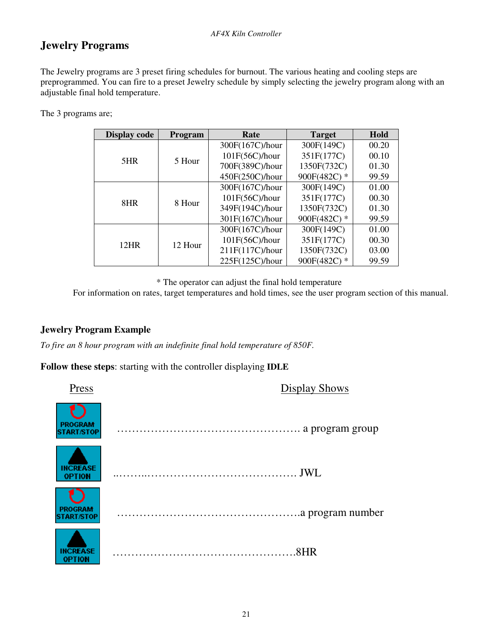# **Jewelry Programs**

The Jewelry programs are 3 preset firing schedules for burnout. The various heating and cooling steps are preprogrammed. You can fire to a preset Jewelry schedule by simply selecting the jewelry program along with an adjustable final hold temperature.

The 3 programs are;

| <b>Display code</b> | Program | Rate              | <b>Target</b> | Hold  |
|---------------------|---------|-------------------|---------------|-------|
|                     |         | 300F(167C)/hour   | 300F(149C)    | 00.20 |
| 5HR                 | 5 Hour  | $101F(56C)$ /hour | 351F(177C)    | 00.10 |
|                     |         | 700F(389C)/hour   | 1350F(732C)   | 01.30 |
|                     |         | 450F(250C)/hour   | 900F(482C) *  | 99.59 |
|                     | 8 Hour  | 300F(167C)/hour   | 300F(149C)    | 01.00 |
| 8HR                 |         | 101F(56C)/hour    | 351F(177C)    | 00.30 |
|                     |         | 349F(194C)/hour   | 1350F(732C)   | 01.30 |
|                     |         | 301F(167C)/hour   | 900F(482C) *  | 99.59 |
|                     |         | 300F(167C)/hour   | 300F(149C)    | 01.00 |
| <b>12HR</b>         | 12 Hour | 101F(56C)/hour    | 351F(177C)    | 00.30 |
|                     |         | 211F(117C)/hour   | 1350F(732C)   | 03.00 |
|                     |         | 225F(125C)/hour   | 900F(482C) *  | 99.59 |

\* The operator can adjust the final hold temperature

For information on rates, target temperatures and hold times, see the user program section of this manual.

### **Jewelry Program Example**

*To fire an 8 hour program with an indefinite final hold temperature of 850F.* 

**Follow these steps**: starting with the controller displaying **IDLE**

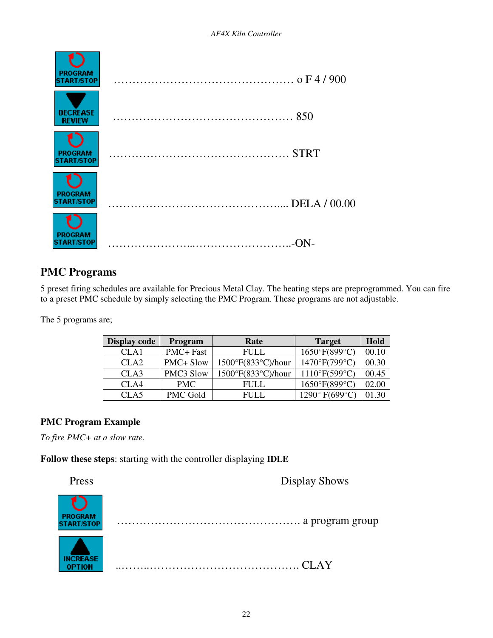

# **PMC Programs**

5 preset firing schedules are available for Precious Metal Clay. The heating steps are preprogrammed. You can fire to a preset PMC schedule by simply selecting the PMC Program. These programs are not adjustable.

The 5 programs are;

| <b>Display code</b> | <b>Program</b>  | Rate                                | <b>Target</b>  | Hold  |
|---------------------|-----------------|-------------------------------------|----------------|-------|
| CLA1                | PMC+ Fast       | <b>FULL</b>                         | 1650°F(899°C)  | 00.10 |
| CLA <sub>2</sub>    | PMC+ Slow       | $1500^{\circ}F(833^{\circ}C)/$ hour | 1470°F(799°C)  | 00.30 |
| CLA3                | PMC3 Slow       | $1500^{\circ}F(833^{\circ}C)/$ hour | 1110°F(599°C)  | 00.45 |
| CLA4                | <b>PMC</b>      | FULL                                | 1650°F(899°C)  | 02.00 |
| CLA5                | <b>PMC Gold</b> | FULL.                               | 1290° F(699°C) | 01.30 |

### **PMC Program Example**

*To fire PMC+ at a slow rate.* 

**Follow these steps**: starting with the controller displaying **IDLE**

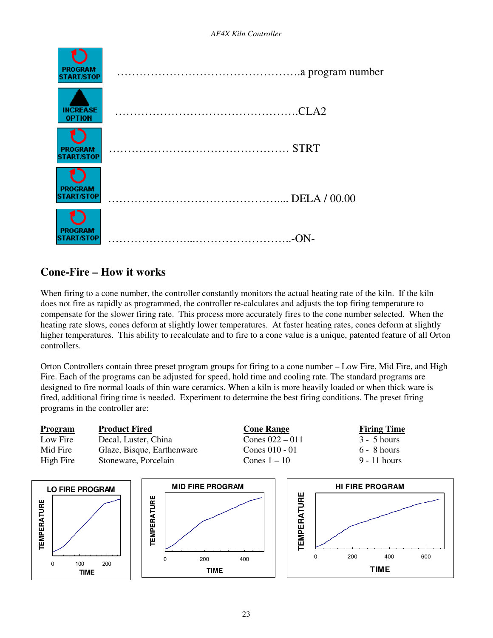

# **Cone-Fire – How it works**

When firing to a cone number, the controller constantly monitors the actual heating rate of the kiln. If the kiln does not fire as rapidly as programmed, the controller re-calculates and adjusts the top firing temperature to compensate for the slower firing rate. This process more accurately fires to the cone number selected. When the heating rate slows, cones deform at slightly lower temperatures. At faster heating rates, cones deform at slightly higher temperatures. This ability to recalculate and to fire to a cone value is a unique, patented feature of all Orton controllers.

Orton Controllers contain three preset program groups for firing to a cone number – Low Fire, Mid Fire, and High Fire. Each of the programs can be adjusted for speed, hold time and cooling rate. The standard programs are designed to fire normal loads of thin ware ceramics. When a kiln is more heavily loaded or when thick ware is fired, additional firing time is needed. Experiment to determine the best firing conditions. The preset firing programs in the controller are:

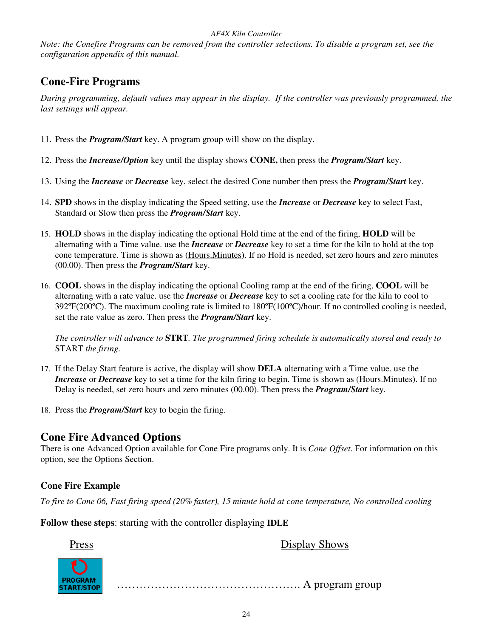*Note: the Conefire Programs can be removed from the controller selections. To disable a program set, see the configuration appendix of this manual.* 

# **Cone-Fire Programs**

*During programming, default values may appear in the display. If the controller was previously programmed, the last settings will appear.* 

- 11. Press the *Program/Start* key. A program group will show on the display.
- 12. Press the *Increase/Option* key until the display shows **CONE,** then press the *Program/Start* key.
- 13. Using the *Increase* or *Decrease* key, select the desired Cone number then press the *Program/Start* key.
- 14. **SPD** shows in the display indicating the Speed setting, use the *Increase* or *Decrease* key to select Fast, Standard or Slow then press the *Program/Start* key.
- 15. **HOLD** shows in the display indicating the optional Hold time at the end of the firing, **HOLD** will be alternating with a Time value. use the *Increase* or *Decrease* key to set a time for the kiln to hold at the top cone temperature. Time is shown as (Hours.Minutes). If no Hold is needed, set zero hours and zero minutes (00.00). Then press the *Program/Start* key.
- 16. **COOL** shows in the display indicating the optional Cooling ramp at the end of the firing, **COOL** will be alternating with a rate value. use the *Increase* or *Decrease* key to set a cooling rate for the kiln to cool to 392ºF(200ºC). The maximum cooling rate is limited to 180ºF(100ºC)/hour. If no controlled cooling is needed, set the rate value as zero. Then press the *Program/Start* key.

*The controller will advance to* **STRT***. The programmed firing schedule is automatically stored and ready to*  START *the firing.*

- 17. If the Delay Start feature is active, the display will show **DELA** alternating with a Time value. use the *Increase* or *Decrease* key to set a time for the kiln firing to begin. Time is shown as (Hours.Minutes). If no Delay is needed, set zero hours and zero minutes (00.00). Then press the *Program/Start* key.
- 18. Press the *Program/Start* key to begin the firing.

## **Cone Fire Advanced Options**

There is one Advanced Option available for Cone Fire programs only. It is *Cone Offset*. For information on this option, see the Options Section.

### **Cone Fire Example**

*To fire to Cone 06, Fast firing speed (20% faster), 15 minute hold at cone temperature, No controlled cooling* 

**Follow these steps**: starting with the controller displaying **IDLE**

Press Display Shows

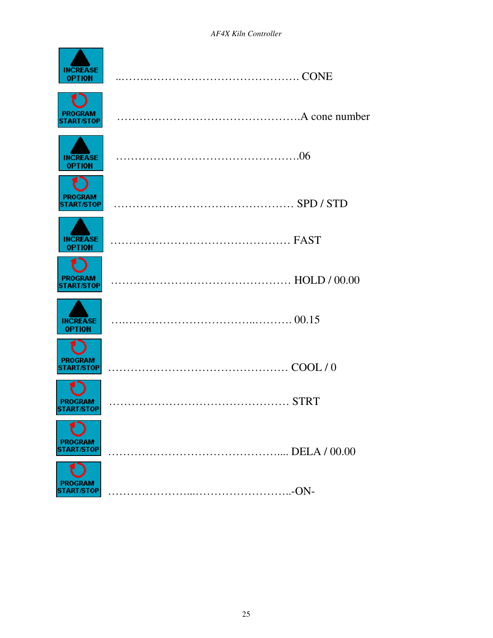| <b>INCREASE</b><br>OPTION           |  |
|-------------------------------------|--|
| <b>PROGRAM</b><br><b>START/STOP</b> |  |
| <b>INCREASE</b><br><b>OPTION</b>    |  |
| <b>PROGRAM</b><br><b>START/STOP</b> |  |
| <b>INCREASE</b><br><b>OPTION</b>    |  |
| <b>PROGRAM</b><br><b>START/STOP</b> |  |
| <b>INCREASE</b><br><b>OPTION</b>    |  |
| <b>PROGRAM</b><br><b>START/STOP</b> |  |
| <b>PROGRAM</b><br><b>START/STOP</b> |  |
| PROGRAM<br><b>ART/STOP</b>          |  |
| PROGRAM<br><b>ART/STOP</b>          |  |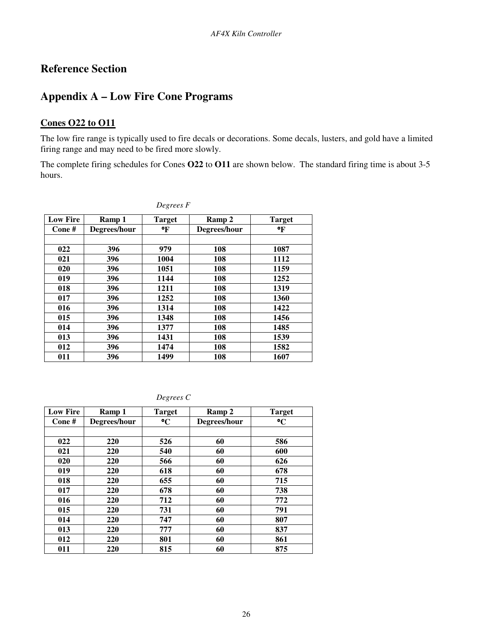# **Reference Section**

# **Appendix A – Low Fire Cone Programs**

### **Cones O22 to O11**

The low fire range is typically used to fire decals or decorations. Some decals, lusters, and gold have a limited firing range and may need to be fired more slowly.

The complete firing schedules for Cones **O22** to **O11** are shown below. The standard firing time is about 3-5 hours.

| <b>Low Fire</b> | Ramp 1       | <b>Target</b> | Ramp 2       | <b>Target</b> |
|-----------------|--------------|---------------|--------------|---------------|
| Cone#           | Degrees/hour | $\mathbf{P}$  | Degrees/hour | °F            |
|                 |              |               |              |               |
| 022             | 396          | 979           | 108          | 1087          |
| 021             | 396          | 1004          | 108          | 1112          |
| 020             | 396          | 1051          | 108          | 1159          |
| 019             | 396          | 1144          | 108          | 1252          |
| 018             | 396          | 1211          | 108          | 1319          |
| 017             | 396          | 1252          | 108          | 1360          |
| 016             | 396          | 1314          | 108          | 1422          |
| 015             | 396          | 1348          | 108          | 1456          |
| 014             | 396          | 1377          | 108          | 1485          |
| 013             | 396          | 1431          | 108          | 1539          |
| 012             | 396          | 1474          | 108          | 1582          |
| 011             | 396          | 1499          | 108          | 1607          |

*Degrees F*

*Degrees C*

| <b>Low Fire</b> | Ramp 1       | <b>Target</b>   | Ramp 2       | <b>Target</b>   |
|-----------------|--------------|-----------------|--------------|-----------------|
| Cone#           | Degrees/hour | $\rm ^{\circ}C$ | Degrees/hour | $\rm ^{\circ}C$ |
|                 |              |                 |              |                 |
| 022             | 220          | 526             | 60           | 586             |
| 021             | 220          | 540             | 60           | 600             |
| 020             | 220          | 566             | 60           | 626             |
| 019             | 220          | 618             | 60           | 678             |
| 018             | 220          | 655             | 60           | 715             |
| 017             | 220          | 678             | 60           | 738             |
| 016             | 220          | 712             | 60           | 772             |
| 015             | 220          | 731             | 60           | 791             |
| 014             | 220          | 747             | 60           | 807             |
| 013             | 220          | 777             | 60           | 837             |
| 012             | 220          | 801             | 60           | 861             |
| 011             | 220          | 815             | 60           | 875             |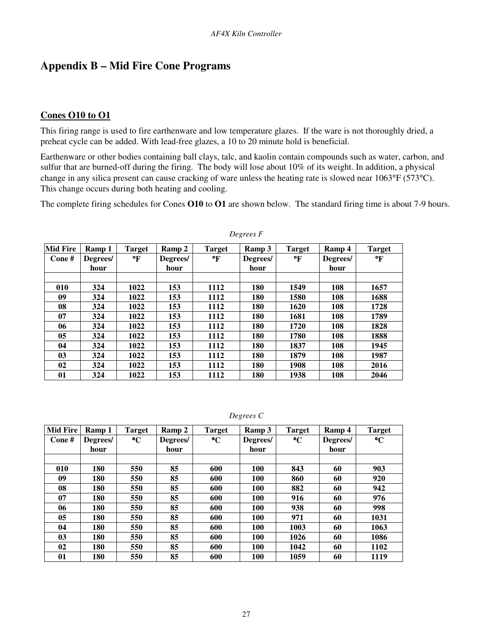# **Appendix B – Mid Fire Cone Programs**

### **Cones O10 to O1**

This firing range is used to fire earthenware and low temperature glazes. If the ware is not thoroughly dried, a preheat cycle can be added. With lead-free glazes, a 10 to 20 minute hold is beneficial.

Earthenware or other bodies containing ball clays, talc, and kaolin contain compounds such as water, carbon, and sulfur that are burned-off during the firing. The body will lose about 10% of its weight. In addition, a physical change in any silica present can cause cracking of ware unless the heating rate is slowed near 1063°F (573°C). This change occurs during both heating and cooling.

The complete firing schedules for Cones **O10** to **O1** are shown below. The standard firing time is about 7-9 hours.

| <b>Mid Fire</b> | Ramp 1   | <b>Target</b> | Ramp 2   | <b>Target</b> | Ramp 3   | <b>Target</b> | Ramp 4   | <b>Target</b> |
|-----------------|----------|---------------|----------|---------------|----------|---------------|----------|---------------|
| Cone#           | Degrees/ | °F            | Degrees/ | °F            | Degrees/ | °F            | Degrees/ | °F            |
|                 | hour     |               | hour     |               | hour     |               | hour     |               |
|                 |          |               |          |               |          |               |          |               |
| 010             | 324      | 1022          | 153      | 1112          | 180      | 1549          | 108      | 1657          |
| 09              | 324      | 1022          | 153      | 1112          | 180      | 1580          | 108      | 1688          |
| 08              | 324      | 1022          | 153      | 1112          | 180      | 1620          | 108      | 1728          |
| 07              | 324      | 1022          | 153      | 1112          | 180      | 1681          | 108      | 1789          |
| 06              | 324      | 1022          | 153      | 1112          | 180      | 1720          | 108      | 1828          |
| 05              | 324      | 1022          | 153      | 1112          | 180      | 1780          | 108      | 1888          |
| 04              | 324      | 1022          | 153      | 1112          | 180      | 1837          | 108      | 1945          |
| 0 <sub>3</sub>  | 324      | 1022          | 153      | 1112          | 180      | 1879          | 108      | 1987          |
| 02              | 324      | 1022          | 153      | 1112          | 180      | 1908          | 108      | 2016          |
| 01              | 324      | 1022          | 153      | 1112          | 180      | 1938          | 108      | 2046          |

*Degrees F*

| Degrees C |  |
|-----------|--|
|-----------|--|

| <b>Mid Fire</b> | Ramp 1   | <b>Target</b>   | Ramp 2   | <b>Target</b> | Ramp 3     | <b>Target</b>   | Ramp 4   | <b>Target</b>   |
|-----------------|----------|-----------------|----------|---------------|------------|-----------------|----------|-----------------|
| Cone#           | Degrees/ | $\rm ^{\circ}C$ | Degrees/ | $\mathbf{C}$  | Degrees/   | $\rm ^{\circ}C$ | Degrees/ | $\rm ^{\circ}C$ |
|                 | hour     |                 | hour     |               | hour       |                 | hour     |                 |
|                 |          |                 |          |               |            |                 |          |                 |
| 010             | 180      | 550             | 85       | 600           | <b>100</b> | 843             | 60       | 903             |
| 09              | 180      | 550             | 85       | 600           | <b>100</b> | 860             | 60       | 920             |
| 08              | 180      | 550             | 85       | 600           | <b>100</b> | 882             | 60       | 942             |
| 07              | 180      | 550             | 85       | 600           | <b>100</b> | 916             | 60       | 976             |
| 06              | 180      | 550             | 85       | 600           | <b>100</b> | 938             | 60       | 998             |
| 0 <sub>5</sub>  | 180      | 550             | 85       | 600           | <b>100</b> | 971             | 60       | 1031            |
| 04              | 180      | 550             | 85       | 600           | <b>100</b> | 1003            | 60       | 1063            |
| 0 <sub>3</sub>  | 180      | 550             | 85       | 600           | <b>100</b> | 1026            | 60       | 1086            |
| 02              | 180      | 550             | 85       | 600           | <b>100</b> | 1042            | 60       | 1102            |
| 01              | 180      | 550             | 85       | 600           | 100        | 1059            | 60       | 1119            |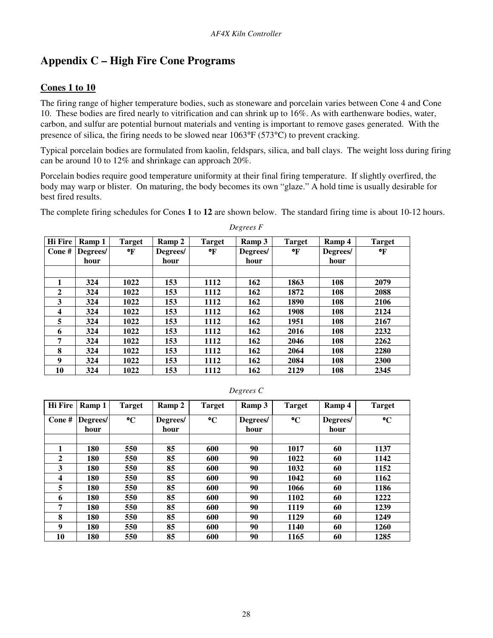# **Appendix C – High Fire Cone Programs**

### **Cones 1 to 10**

The firing range of higher temperature bodies, such as stoneware and porcelain varies between Cone 4 and Cone 10. These bodies are fired nearly to vitrification and can shrink up to 16%. As with earthenware bodies, water, carbon, and sulfur are potential burnout materials and venting is important to remove gases generated. With the presence of silica, the firing needs to be slowed near 1063°F (573°C) to prevent cracking.

Typical porcelain bodies are formulated from kaolin, feldspars, silica, and ball clays. The weight loss during firing can be around 10 to 12% and shrinkage can approach 20%.

Porcelain bodies require good temperature uniformity at their final firing temperature. If slightly overfired, the body may warp or blister. On maturing, the body becomes its own "glaze." A hold time is usually desirable for best fired results.

The complete firing schedules for Cones **1** to **12** are shown below. The standard firing time is about 10-12 hours.

| <b>Hi Fire</b>   | Ramp 1   | <b>Target</b> | Ramp 2   | <b>Target</b> | Ramp 3   | <b>Target</b> | Ramp 4   | <b>Target</b> |
|------------------|----------|---------------|----------|---------------|----------|---------------|----------|---------------|
| Cone#            | Degrees/ | °F            | Degrees/ | $\mathbf{F}$  | Degrees/ | °F            | Degrees/ | °F            |
|                  | hour     |               | hour     |               | hour     |               | hour     |               |
|                  |          |               |          |               |          |               |          |               |
| 1                | 324      | 1022          | 153      | 1112          | 162      | 1863          | 108      | 2079          |
| $\overline{2}$   | 324      | 1022          | 153      | 1112          | 162      | 1872          | 108      | 2088          |
| 3                | 324      | 1022          | 153      | 1112          | 162      | 1890          | 108      | 2106          |
| $\boldsymbol{4}$ | 324      | 1022          | 153      | 1112          | 162      | 1908          | 108      | 2124          |
| 5                | 324      | 1022          | 153      | 1112          | 162      | 1951          | 108      | 2167          |
| 6                | 324      | 1022          | 153      | 1112          | 162      | 2016          | 108      | 2232          |
| 7                | 324      | 1022          | 153      | 1112          | 162      | 2046          | 108      | 2262          |
| 8                | 324      | 1022          | 153      | 1112          | 162      | 2064          | 108      | 2280          |
| 9                | 324      | 1022          | 153      | 1112          | 162      | 2084          | 108      | 2300          |
| 10               | 324      | 1022          | 153      | 1112          | 162      | 2129          | 108      | 2345          |

*Degrees F* 

| <b>Hi</b> Fire | Ramp 1           | <b>Target</b>   | Ramp 2           | <b>Target</b>   | Ramp 3           | <b>Target</b>   | Ramp 4           | <b>Target</b>   |
|----------------|------------------|-----------------|------------------|-----------------|------------------|-----------------|------------------|-----------------|
| Cone#          | Degrees/<br>hour | $\rm ^{\circ}C$ | Degrees/<br>hour | $\rm ^{\circ}C$ | Degrees/<br>hour | $\rm ^{\circ}C$ | Degrees/<br>hour | $\rm ^{\circ}C$ |
| 1              | 180              | 550             | 85               | 600             | 90               | 1017            | 60               | 1137            |
| $\mathbf{2}$   | 180              | 550             | 85               | 600             | 90               | 1022            | 60               | 1142            |
| 3              | 180              | 550             | 85               | 600             | 90               | 1032            | 60               | 1152            |
| 4              | 180              | 550             | 85               | 600             | 90               | 1042            | 60               | 1162            |
| 5              | 180              | 550             | 85               | 600             | 90               | 1066            | 60               | 1186            |
| 6              | 180              | 550             | 85               | 600             | 90               | 1102            | 60               | 1222            |
| 7              | 180              | 550             | 85               | 600             | 90               | 1119            | 60               | 1239            |
| 8              | 180              | 550             | 85               | 600             | 90               | 1129            | 60               | 1249            |
| 9              | 180              | 550             | 85               | 600             | 90               | 1140            | 60               | 1260            |
| 10             | 180              | 550             | 85               | 600             | 90               | 1165            | 60               | 1285            |

#### *Degrees C*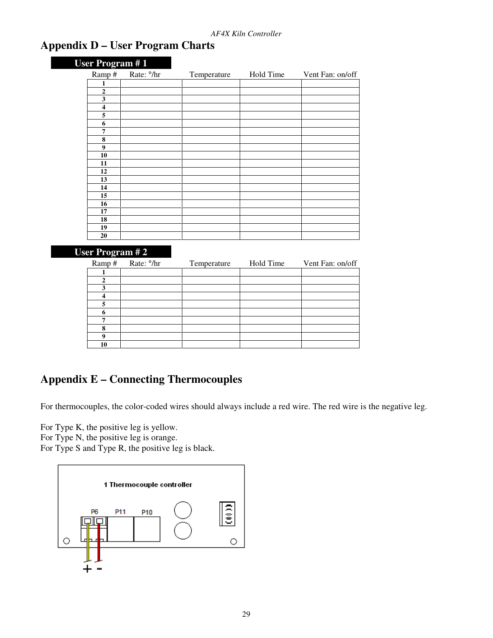# **Appendix D – User Program Charts**

| User Program #1         |                        |             |           |                  |
|-------------------------|------------------------|-------------|-----------|------------------|
| Ramp#                   | Rate: <sup>o</sup> /hr | Temperature | Hold Time | Vent Fan: on/off |
| 1                       |                        |             |           |                  |
| $\overline{2}$          |                        |             |           |                  |
| 3                       |                        |             |           |                  |
| $\overline{\mathbf{4}}$ |                        |             |           |                  |
| 5                       |                        |             |           |                  |
| 6                       |                        |             |           |                  |
| 7                       |                        |             |           |                  |
| 8                       |                        |             |           |                  |
| $\boldsymbol{9}$        |                        |             |           |                  |
| 10                      |                        |             |           |                  |
| 11                      |                        |             |           |                  |
| 12                      |                        |             |           |                  |
| 13                      |                        |             |           |                  |
| 14                      |                        |             |           |                  |
| 15                      |                        |             |           |                  |
| 16                      |                        |             |           |                  |
| 17                      |                        |             |           |                  |
| 18                      |                        |             |           |                  |
| 19                      |                        |             |           |                  |
| 20                      |                        |             |           |                  |

### **User Program # 2**

| Ramp# | Rate: <sup>o</sup> /hr | Temperature | Hold Time | Vent Fan: on/off |
|-------|------------------------|-------------|-----------|------------------|
|       |                        |             |           |                  |
|       |                        |             |           |                  |
|       |                        |             |           |                  |
|       |                        |             |           |                  |
|       |                        |             |           |                  |
|       |                        |             |           |                  |
| −     |                        |             |           |                  |
| 8     |                        |             |           |                  |
|       |                        |             |           |                  |
| 10    |                        |             |           |                  |

# **Appendix E – Connecting Thermocouples**

For thermocouples, the color-coded wires should always include a red wire. The red wire is the negative leg.

For Type K, the positive leg is yellow.

For Type N, the positive leg is orange.

For Type S and Type R, the positive leg is black.

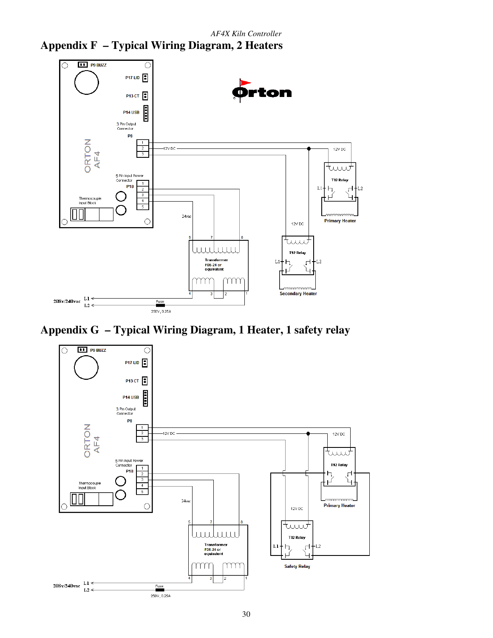



**Appendix G – Typical Wiring Diagram, 1 Heater, 1 safety relay** 

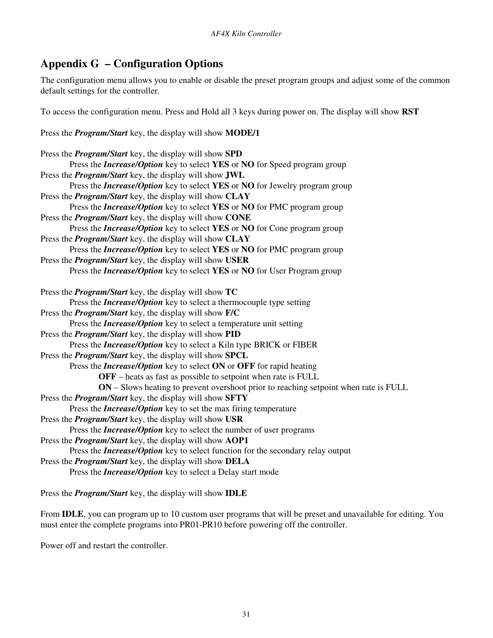# **Appendix G – Configuration Options**

The configuration menu allows you to enable or disable the preset program groups and adjust some of the common default settings for the controller.

To access the configuration menu. Press and Hold all 3 keys during power on. The display will show **RST** 

Press the *Program/Start* key, the display will show **MODE/1** 

| Press the <i>Program/Start</i> key, the display will show SPD                               |
|---------------------------------------------------------------------------------------------|
| Press the <i>Increase/Option</i> key to select YES or NO for Speed program group            |
| Press the <i>Program/Start</i> key, the display will show <b>JWL</b>                        |
| Press the <i>Increase/Option</i> key to select YES or NO for Jewelry program group          |
| Press the <i>Program/Start</i> key, the display will show CLAY                              |
| Press the <i>Increase/Option</i> key to select YES or NO for PMC program group              |
| Press the <i>Program/Start</i> key, the display will show CONE                              |
| Press the <i>Increase/Option</i> key to select YES or NO for Cone program group             |
| Press the <i>Program/Start</i> key, the display will show CLAY                              |
| Press the <i>Increase/Option</i> key to select YES or NO for PMC program group              |
| Press the <i>Program/Start</i> key, the display will show USER                              |
| Press the <i>Increase/Option</i> key to select YES or NO for User Program group             |
| Press the <i>Program/Start</i> key, the display will show TC                                |
| Press the <i>Increase/Option</i> key to select a thermocouple type setting                  |
| Press the <i>Program/Start</i> key, the display will show F/C                               |
| Press the <i>Increase/Option</i> key to select a temperature unit setting                   |
| Press the <i>Program/Start</i> key, the display will show PID                               |
| Press the <i>Increase/Option</i> key to select a Kiln type BRICK or FIBER                   |
| Press the <i>Program/Start</i> key, the display will show <b>SPCL</b>                       |
| Press the <i>Increase/Option</i> key to select ON or OFF for rapid heating                  |
| <b>OFF</b> – heats as fast as possible to setpoint when rate is FULL                        |
| <b>ON</b> – Slows heating to prevent overshoot prior to reaching setpoint when rate is FULL |
| Press the <i>Program/Start</i> key, the display will show <b>SFTY</b>                       |
| Press the <i>Increase/Option</i> key to set the max firing temperature                      |
| Press the <i>Program/Start</i> key, the display will show USR                               |
| Press the <i>Increase/Option</i> key to select the number of user programs                  |
| Press the <i>Program/Start</i> key, the display will show AOP1                              |
| Press the <i>Increase/Option</i> key to select function for the secondary relay output      |
| Press the <i>Program/Start</i> key, the display will show DELA                              |
| Press the <i>Increase/Option</i> key to select a Delay start mode                           |

Press the *Program/Start* key, the display will show **IDLE** 

From **IDLE**, you can program up to 10 custom user programs that will be preset and unavailable for editing. You must enter the complete programs into PR01-PR10 before powering off the controller.

Power off and restart the controller.